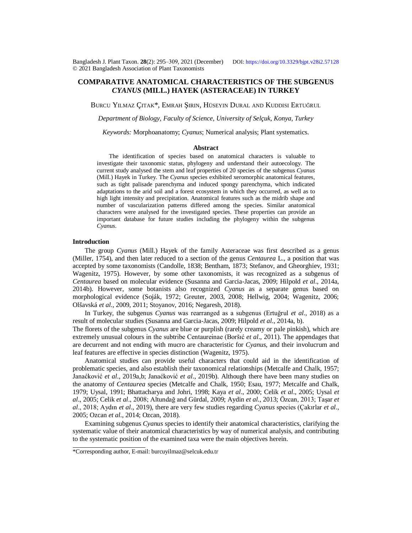# **COMPARATIVE ANATOMICAL CHARACTERISTICS OF THE SUBGENUS**  *CYANUS* **(MILL.) HAYEK (ASTERACEAE) IN TURKEY**

BURCU YILMAZ ÇITAK\*, EMRAH ŞIRIN, HÜSEYIN DURAL AND KUDDISI ERTUĞRUL

*Department of Biology, Faculty of Science, University of Selçuk, Konya, Turkey*

*Keywords:* Morphoanatomy; *Cyanus*; Numerical analysis; Plant systematics.

# **Abstract**

The identification of species based on anatomical characters is valuable to investigate their taxonomic status, phylogeny and understand their autoecology. The current study analysed the stem and leaf properties of 20 species of the subgenus *Cyanus* (Mill.) Hayek in Turkey. The *Cyanus* species exhibited xeromorphic anatomical features, such as tight palisade parenchyma and induced spongy parenchyma, which indicated adaptations to the arid soil and a forest ecosystem in which they occurred, as well as to high light intensity and precipitation. Anatomical features such as the midrib shape and number of vascularization patterns differed among the species. Similar anatomical characters were analysed for the investigated species. These properties can provide an important database for future studies including the phylogeny within the subgenus *Cyanus*.

### **Introduction**

The group *Cyanus* (Mill.) Hayek of the family Asteraceae was first described as a genus (Miller, 1754), and then later reduced to a section of the genus *Centaurea* L., a position that was accepted by some taxonomists (Candolle, 1838; Bentham, 1873; Stefanov, and Gheorghiev, 1931; Wagenitz, 1975). However, by some other taxonomists, it was recognized as a subgenus of *Centaurea* based on molecular evidence (Susanna and Garcia-Jacas, 2009; Hilpold *et al*., 2014a, 2014b). However, some botanists also recognized *Cyanus* as a separate genus based on morphological evidence (Soják, 1972; Greuter, 2003, 2008; Hellwig, 2004; Wagenitz, 2006; Olšavská *et al*., 2009, 2011; Stoyanov, 2016; Negaresh, 2018).

In Turkey, the subgenus *Cyanus* was rearranged as a subgenus (Ertuğrul *et al*., 2018) as a result of molecular studies (Susanna and Garcia-Jacas, 2009; Hilpold *et al*., 2014a, b).

The florets of the subgenus *Cyanus* are blue or purplish (rarely creamy or pale pinkish), which are extremely unusual colours in the subtribe Centaureinae (Boršıć *et al*., 2011). The appendages that are decurrent and not ending with mucro are characteristic for *Cyanus*, and their involucrum and leaf features are effective in species distinction (Wagenitz, 1975).

Anatomical studies can provide useful characters that could aid in the identification of problematic species, and also establish their taxonomical relationships (Metcalfe and Chalk, 1957; Janaćković *et al*., 2019a,b; Janaćković *et al*., 2019b). Although there have been many studies on the anatomy of *Centaurea* species (Metcalfe and Chalk, 1950; Esau, 1977; Metcalfe and Chalk, 1979; Uysal, 1991; Bhattacharya and Johri, 1998; Kaya *et al*., 2000; Celik *et al*., 2005; Uysal *et al*., 2005; Celik *et al*., 2008; Altundağ and Gürdal, 2009; Aydin *et al*., 2013; Özcan, 2013; Taşar *et al*., 2018; Aydın *et al*., 2019), there are very few studies regarding *Cyanus* species (Çakırlar *et al*., 2005; Ozcan *et al*., 2014; Ozcan, 2018).

Examining subgenus *Cyanus* species to identify their anatomical characteristics, clarifying the systematic value of their anatomical characteristics by way of numerical analysis, and contributing to the systematic position of the examined taxa were the main objectives herein.

<sup>\*</sup>Corresponding author, E-mail: [burcuyilmaz@selcuk.edu.tr](mailto:burcuyilmaz@selcuk.edu.tr)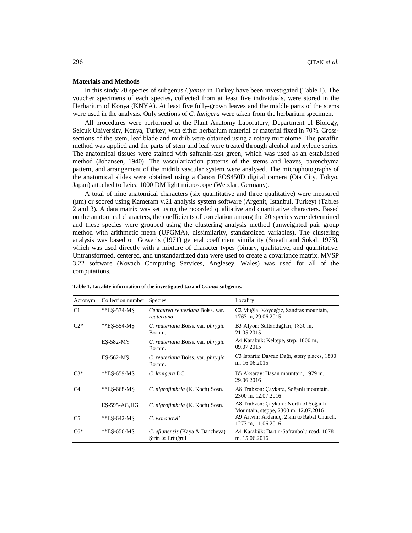# **Materials and Methods**

In this study 20 species of subgenus *Cyanus* in Turkey have been investigated (Table 1). The voucher specimens of each species, collected from at least five individuals, were stored in the Herbarium of Konya (KNYA). At least five fully-grown leaves and the middle parts of the stems were used in the analysis. Only sections of *C. lanigera* were taken from the herbarium specimen.

All procedures were performed at the Plant Anatomy Laboratory, Department of Biology, Selçuk University, Konya, Turkey, with either herbarium material or material fixed in 70%. Crosssections of the stem, leaf blade and midrib were obtained using a rotary microtome. The paraffin method was applied and the parts of stem and leaf were treated through alcohol and xylene series. The anatomical tissues were stained with safranin-fast green, which was used as an established method (Johansen, 1940). The vascularization patterns of the stems and leaves, parenchyma pattern, and arrangement of the midrib vascular system were analysed. The microphotographs of the anatomical slides were obtained using a Canon EOS450D digital camera (Ota City, Tokyo, Japan) attached to Leica 1000 DM light microscope (Wetzlar, Germany).

A total of nine anatomical characters (six quantitative and three qualitative) were measured (µm) or scored using Kameram v.21 analysis system software (Argenit, Istanbul, Turkey) (Tables 2 and 3). A data matrix was set using the recorded qualitative and quantitative characters. Based on the anatomical characters, the coefficients of correlation among the 20 species were determined and these species were grouped using the clustering analysis method (unweighted pair group method with arithmetic mean (UPGMA), dissimilarity, standardized variables). The clustering analysis was based on Gower's (1971) general coefficient similarity (Sneath and Sokal, 1973), which was used directly with a mixture of character types (binary, qualitative, and quantitative. Untransformed, centered, and unstandardized data were used to create a covariance matrix. MVSP 3.22 software (Kovach Computing Services, Anglesey, Wales) was used for all of the computations.

| Acronym        | Collection number | <b>Species</b>                                      | Locality                                                                      |  |  |  |  |
|----------------|-------------------|-----------------------------------------------------|-------------------------------------------------------------------------------|--|--|--|--|
| C1             | **ES-574-MS       | Centaurea reuteriana Boiss, var.<br>reuteriana      | C2 Muğla: Köyceğiz, Sandras mountain,<br>1763 m, 29.06.2015                   |  |  |  |  |
| $C2*$          | **ES-554-MS       | C. reuteriana Boiss. var. <i>phrygia</i><br>Bornm.  | B3 Afyon: Sultandağları, 1850 m,<br>21.05.2015                                |  |  |  |  |
|                | ES-582-MY         | C. reuteriana Boiss. var. phrygia<br>Bornm.         | A4 Karabük: Keltepe, step, 1800 m,<br>09.07.2015                              |  |  |  |  |
|                | ES-562-MS         | C. reuteriana Boiss. var. <i>phrygia</i><br>Bornm.  | C3 Isparta: Davraz Dağı, stony places, 1800<br>m, 16.06.2015                  |  |  |  |  |
| $C3*$          | **ES-659-MS       | C. lanigera DC.                                     | B5 Aksaray: Hasan mountain, 1979 m,<br>29.06.2016                             |  |  |  |  |
| C <sub>4</sub> | **ES-668-MS       | C. nigrofimbria (K. Koch) Sosn.                     | A8 Trabzon: Çaykara, Soğanlı mountain,<br>2300 m, 12.07.2016                  |  |  |  |  |
|                | $ES-595-AG,HG$    | C. nigrofimbria (K. Koch) Sosn.                     | A8 Trabzon: Çaykara: North of Soğanlı<br>Mountain, steppe, 2300 m, 12.07.2016 |  |  |  |  |
| C <sub>5</sub> | **ES-642-MS       | C. woronowii                                        | A9 Artvin: Ardanuç, 2 km to Rabat Church,<br>1273 m, 11.06.2016               |  |  |  |  |
| $C6*$          | **ES-656-MS       | C. eflanensis (Kaya & Bancheva)<br>Şirin & Ertuğrul | A4 Karabük: Bartın-Safranbolu road, 1078<br>m, 15.06.2016                     |  |  |  |  |

**Table 1. Locality information of the investigated taxa of** *Cyanus* **subgenus.**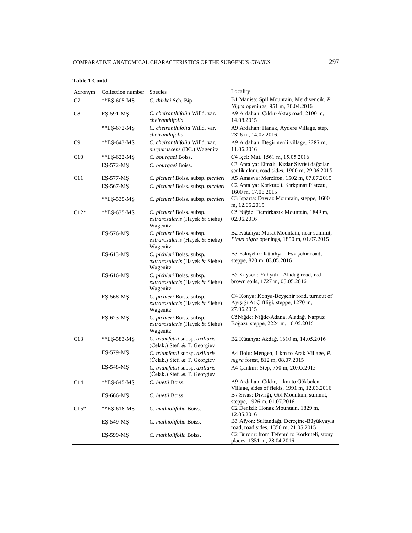| Acronym         | Collection number | Species                                                                 | Locality                                                                                        |  |  |  |  |  |
|-----------------|-------------------|-------------------------------------------------------------------------|-------------------------------------------------------------------------------------------------|--|--|--|--|--|
| C7              | **ES-605-MS       | C. thirkei Sch. Bip.                                                    | B1 Manisa: Spil Mountain, Merdivencik, P.<br>Nigra openings, 951 m, 30.04.2016                  |  |  |  |  |  |
| C8              | EŞ-591-MŞ         | C. cheiranthifolia Willd. var.<br>cheiranthifolia                       | A9 Ardahan: Çıldır-Aktaş road, 2100 m,<br>14.08.2015                                            |  |  |  |  |  |
| **ES-672-MS     |                   | C. cheiranthifolia Willd. var.<br>cheiranthifolia                       | A9 Ardahan: Hanak, Aydere Village, step,<br>2326 m, 14.07.2016.                                 |  |  |  |  |  |
| C9              | **ES-643-MS       | C. cheiranthifolia Willd. var.<br>purpurascens (DC.) Wagenitz           | A9 Ardahan: Değirmenli village, 2287 m,<br>11.06.2016                                           |  |  |  |  |  |
| C10             | **ES-622-MS       | C. bourgaei Boiss.                                                      | C4 İçel: Mut, 1561 m, 15.05.2016                                                                |  |  |  |  |  |
|                 | ES-572-MS         | C. bourgaei Boiss.                                                      | C3 Antalya: Elmalı, Kızlar Sivrisi dağcılar<br>șenlik alanı, road sides, 1900 m, 29.06.2015     |  |  |  |  |  |
| C11             | ES-577-MS         | C. pichleri Boiss. subsp. pichleri                                      | A5 Amasya: Merzifon, 1502 m, 07.07.2015                                                         |  |  |  |  |  |
|                 | EŞ-567-MŞ         | C. pichleri Boiss. subsp. pichleri                                      | C2 Antalya: Korkuteli, Kırkpınar Plateau,<br>1600 m, 17.06.2015                                 |  |  |  |  |  |
|                 | **ES-535-MS       | C. pichleri Boiss. subsp. pichleri                                      | C3 Isparta: Davraz Mountain, steppe, 1600<br>m, 12.05.2015                                      |  |  |  |  |  |
| $C12*$          | **ES-635-MS       | C. pichleri Boiss. subsp.<br>extrarosularis (Hayek & Siehe)<br>Wagenitz | C5 Niğde: Demirkazık Mountain, 1849 m,<br>02.06.2016                                            |  |  |  |  |  |
|                 | ES-576-MS         | C. pichleri Boiss. subsp.<br>extrarosularis (Hayek & Siehe)<br>Wagenitz | B2 Kütahya: Murat Mountain, near summit,<br>Pinus nigra openings, 1850 m, 01.07.2015            |  |  |  |  |  |
|                 | ES-613-MS         | C. pichleri Boiss. subsp.<br>extrarosularis (Hayek & Siehe)<br>Wagenitz | B3 Eskişehir: Kütahya - Eskişehir road,<br>steppe, 820 m, 03.05.2016                            |  |  |  |  |  |
|                 | ES-616-MS         | C. pichleri Boiss. subsp.<br>extrarosularis (Hayek & Siehe)<br>Wagenitz | B5 Kayseri: Yahyalı - Aladağ road, red-<br>brown soils, 1727 m, 05.05.2016                      |  |  |  |  |  |
|                 | EŞ-568-MŞ         | C. pichleri Boiss. subsp.<br>extrarosularis (Hayek & Siehe)<br>Wagenitz | C4 Konya: Konya-Beyşehir road, turnout of<br>Ayışığı At Çiftliği, steppe, 1270 m,<br>27.06.2015 |  |  |  |  |  |
|                 | ES-623-MS         | C. pichleri Boiss. subsp.<br>extrarosularis (Hayek & Siehe)<br>Wagenitz | C5Niğde: Niğde/Adana; Aladağ, Narpuz<br>Boğazı, steppe, 2224 m, 16.05.2016                      |  |  |  |  |  |
| C13             | **EŞ-583-MŞ       | C. triumfettii subsp. axillaris<br>(Čelak.) Stef. & T. Georgiev         | B2 Kütahya: Akdağ, 1610 m, 14.05.2016                                                           |  |  |  |  |  |
|                 | EŞ-579-MŞ         | C. triumfettii subsp. axillaris<br>(Celak.) Stef. & T. Georgiev         | A4 Bolu: Mengen, 1 km to Arak Village, P.<br>nigra forest, 812 m, 08.07.2015                    |  |  |  |  |  |
|                 | EŞ-548-MŞ         | C. triumfettii subsp. axillaris<br>(Celak.) Stef. & T. Georgiev         | A4 Çankırı: Step, 750 m, 20.05.2015                                                             |  |  |  |  |  |
| C <sub>14</sub> | **ES-645-MS       | C. huetii Boiss.                                                        | A9 Ardahan: Çıldır, 1 km to Gökbelen<br>Village, sides of fields, 1991 m, 12.06.2016            |  |  |  |  |  |
|                 | ES-666-MS         | C. huetii Boiss.                                                        | B7 Sivas: Divriği, Göl Mountain, summit,<br>steppe, 1926 m, 01.07.2016                          |  |  |  |  |  |
| $C15*$          | **ES-618-MS       | C. mathiolifolia Boiss.                                                 | C2 Denizli: Honaz Mountain, 1829 m,<br>12.05.2016                                               |  |  |  |  |  |
|                 | ES-549-MS         | C. mathiolifolia Boiss.                                                 | B3 Afyon: Sultandağı, Dereçine-Büyükyayla<br>road, road sides, 1350 m, 21.05.2015               |  |  |  |  |  |
|                 | ES-599-MS         | C. mathiolifolia Boiss.                                                 | C2 Burdur: from Tefenni to Korkuteli, stony                                                     |  |  |  |  |  |

places, 1351 m, 28.04.2016

**Table 1 Contd.**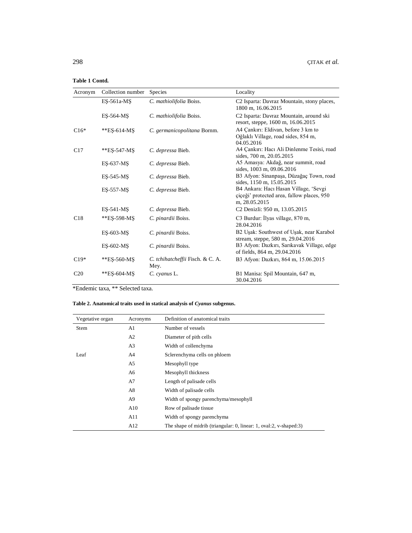# **Table 1 Contd.**

| Acronym         | Collection number | Species                                  | Locality                                                                                             |  |  |  |  |
|-----------------|-------------------|------------------------------------------|------------------------------------------------------------------------------------------------------|--|--|--|--|
|                 | ES-561a-MS        | C. mathiolifolia Boiss.                  | C2 Isparta: Davraz Mountain, stony places,<br>1800 m, 16.06.2015                                     |  |  |  |  |
|                 | ES-564-MS         | C. mathiolifolia Boiss.                  | C2 Isparta: Davraz Mountain, around ski<br>resort, steppe, 1600 m, 16.06.2015                        |  |  |  |  |
| $C16*$          | $*ES-614-MS$      | C. germanicopolitana Bornm.              | A4 Çankırı: Eldivan, before 3 km to<br>Oğlaklı Village, road sides, 854 m,<br>04.05.2016             |  |  |  |  |
| C17             | **ES-547-MS       | C. depressa Bieb.                        | A4 Çankırı: Hacı Ali Dinlenme Tesisi, road<br>sides, 700 m, 20.05.2015                               |  |  |  |  |
|                 | ES-637-MS         | C. depressa Bieb.                        | A5 Amasya: Akdağ, near summit, road<br>sides, 1003 m, 09.06.2016                                     |  |  |  |  |
|                 | ES-545-MS         | C. depressa Bieb.                        | B3 Afyon: Sinanpaşa, Düzağaç Town, road<br>sides, 1150 m, 15.05.2015                                 |  |  |  |  |
|                 | ES-557-MS         | C. depressa Bieb.                        | B4 Ankara: Hacı Hasan Village, 'Sevgi<br>ciceği' protected area, fallow places, 950<br>m, 28.05.2015 |  |  |  |  |
|                 | ES-541-MS         | C. depressa Bieb.                        | C2 Denizli: 950 m, 13.05.2015                                                                        |  |  |  |  |
| C18             | **ES-598-MS       | C. pinardii Boiss.                       | C3 Burdur: İlyas village, 870 m,<br>28.04.2016                                                       |  |  |  |  |
|                 | ES-603-MS         | C. pinardii Boiss.                       | B2 Uşak: Southwest of Uşak, near Karabol<br>stream, steppe, 580 m, 29.04.2016                        |  |  |  |  |
|                 | ES-602-MS         | C. pinardii Boiss.                       | B3 Afyon: Dazkırı, Sarıkavak Village, edge<br>of fields, 864 m, 29.04.2016                           |  |  |  |  |
| $C19*$          | **ES-560-MS       | C. tchihatcheffii Fisch. & C. A.<br>Mey. | B3 Afyon: Dazkırı, 864 m, 15.06.2015                                                                 |  |  |  |  |
| C <sub>20</sub> | **ES-604-MS       | C. cyanus L.                             | B1 Manisa: Spil Mountain, 647 m,<br>30.04.2016                                                       |  |  |  |  |

\*Endemic taxa, \*\* Selected taxa.

# **Table 2. Anatomical traits used in statical analysis of** *Cyanus* **subgenus.**

| Vegetative organ | Acronyms       | Definition of anatomical traits                                    |
|------------------|----------------|--------------------------------------------------------------------|
| Stem             | A1             | Number of vessels                                                  |
|                  | A2             | Diameter of pith cells                                             |
|                  | A <sub>3</sub> | Width of collenchyma                                               |
| Leaf             | A4             | Sclerenchyma cells on phloem                                       |
|                  | A5             | Mesophyll type                                                     |
|                  | A6             | Mesophyll thickness                                                |
|                  | A7             | Length of palisade cells                                           |
|                  | A8             | Width of palisade cells                                            |
|                  | A9             | Width of spongy parenchyma/mesophyll                               |
|                  | A10            | Row of palisade tissue                                             |
|                  | A11            | Width of spongy parenchyma                                         |
|                  | A12            | The shape of midrib (triangular: 0, linear: 1, oval:2, v-shaped:3) |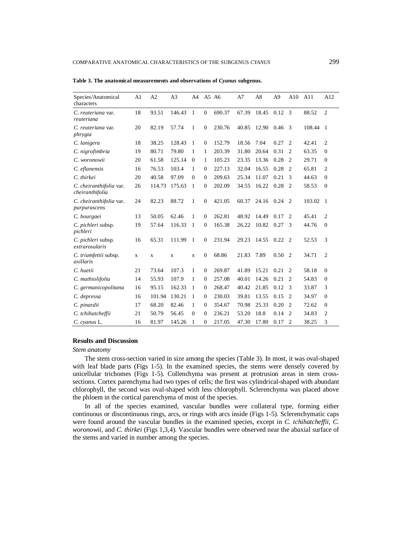| Species/Anatomical<br>characters           | A1 | A <sub>2</sub> | A <sub>3</sub> | A4           |                  | A5 A6  | A7    | A8    | A <sup>9</sup> | A10            | A11    | A12            |
|--------------------------------------------|----|----------------|----------------|--------------|------------------|--------|-------|-------|----------------|----------------|--------|----------------|
| C. reuteriana var.<br>reuteriana           | 18 | 93.51          | 146.43         | -1           | $\boldsymbol{0}$ | 690.37 | 67.39 | 18.45 | 0.12           | -3             | 88.52  | 2              |
| C. reuteriana var.<br>phrygia              | 20 | 82.19          | 57.74          | $\mathbf{1}$ | 0                | 230.76 | 40.85 | 12.90 | 0.46           | 3              | 108.44 | $\overline{1}$ |
| C. lanigera                                | 18 | 38.25          | 128.43         | 1            | $\mathbf{0}$     | 152.79 | 18.56 | 7.04  | 0.27           | 2              | 42.41  | 2              |
| C. nigrofimbria                            | 19 | 80.71          | 79.80          | 1            | 1                | 203.39 | 31.80 | 20.64 | 0.31           | 2              | 63.35  | $\mathbf{0}$   |
| C. woronowii                               | 20 | 61.58          | 125.14         | $\Omega$     | 1                | 105.23 | 23.35 | 13.36 | 0.28           | $\overline{2}$ | 29.71  | $\Omega$       |
| C. eflanensis                              | 16 | 76.53          | 103.4          | 1            | 0                | 227.13 | 32.04 | 16.55 | 0.28           | $\overline{2}$ | 65.81  | $\overline{c}$ |
| C. thirkei                                 | 20 | 40.58          | 97.09          | $\mathbf{0}$ | $\Omega$         | 209.63 | 25.34 | 11.07 | 0.21           | 3              | 44.63  | $\Omega$       |
| C. cheiranthifolia var.<br>cheiranthifolia | 26 | 114.73         | 175.63         | 1            | $\mathbf{0}$     | 202.09 | 34.55 | 16.22 | 0.28           | 2              | 58.53  | $\overline{0}$ |
| C. cheiranthifolia var.<br>purpurascens    | 24 | 82.23          | 88.72          | $\mathbf{1}$ | $\boldsymbol{0}$ | 421.05 | 60.37 | 24.16 | 0.24           | $\overline{2}$ | 103.02 | -1             |
| C. bourgaei                                | 13 | 50.05          | 62.46          | 1            | $\mathbf{0}$     | 262.81 | 48.92 | 14.49 | 0.17           | 2              | 45.41  | $\overline{c}$ |
| C. pichleri subsp.<br>pichleri             | 19 | 57.64          | 116.33         | 1            | 0                | 165.38 | 26.22 | 10.82 | 0.27           | 3              | 44.76  | $\mathbf{0}$   |
| C. pichleri subsp.<br>extrarosularis       | 16 | 65.31          | 111.99         | -1           | $\mathbf{0}$     | 231.94 | 29.23 | 14.55 | 0.22           | $\overline{2}$ | 52.53  | 3              |
| C. triumfettii subsp.<br>axillaris         | X  | X              | X              | X            | 0                | 68.86  | 21.83 | 7.89  | 0.50           | $\overline{2}$ | 34.71  | 2              |
| C. huetii                                  | 21 | 73.64          | 107.3          | 1            | $\Omega$         | 269.87 | 41.89 | 15.21 | 0.21           | $\overline{c}$ | 58.18  | $\Omega$       |
| C. mathiolifolia                           | 14 | 55.93          | 107.9          | 1            | $\mathbf{0}$     | 257.08 | 40.01 | 14.26 | 0.21           | 2              | 54.83  | $\mathbf{0}$   |
| C. germanicopolitana                       | 16 | 95.15          | 162.33         | -1           | 0                | 268.47 | 40.42 | 21.85 | 0.12           | 3              | 33.87  | 3              |
| C. depressa                                | 16 | 101.94         | 130.21         | -1           | 0                | 230.03 | 39.81 | 13.55 | 0.15           | $\overline{2}$ | 34.97  | $\overline{0}$ |
| C. pinardii                                | 17 | 68.20          | 82.46          | 1            | 0                | 354.67 | 70.98 | 25.33 | 0.20           | $\overline{2}$ | 72.62  | $\overline{0}$ |
| C. tchihatcheffii                          | 21 | 50.79          | 56.45          | $\mathbf{0}$ | $\Omega$         | 236.21 | 53.20 | 18.8  | 0.14           | $\overline{2}$ | 34.83  | 2              |
| C. cyanus L.                               | 16 | 81.97          | 145.26         | 1            | 0                | 217.05 | 47.30 | 17.80 | 0.17           | 2              | 38.25  | 3              |

Table 3. The anatomical measurements and observations of *Cyanus* subgenus.

# **Results and Discussion**

#### *Stem anatomy*

The stem cross-section varied in size among the species (Table 3). In most, it was oval-shaped with leaf blade parts (Figs 1-5). In the examined species, the stems were densely covered by unicellular trichomes (Figs 1-5). Collenchyma was present at protrusion areas in stem crosssections. Cortex parenchyma had two types of cells; the first was cylindrical-shaped with abundant chlorophyll, the second was oval-shaped with less chlorophyll. Sclerenchyma was placed above the phloem in the cortical parenchyma of most of the species.

In all of the species examined, vascular bundles were collateral type, forming either continuous or discontinuous rings, arcs, or rings with arcs inside (Figs 1-5). Sclerenchymatic caps were found around the vascular bundles in the examined species, except in *C. tchihatcheffii*, *C. woronowii*, and *C. thirkei* (Figs 1,3,4). Vascular bundles were observed near the abaxial surface of the stems and varied in number among the species.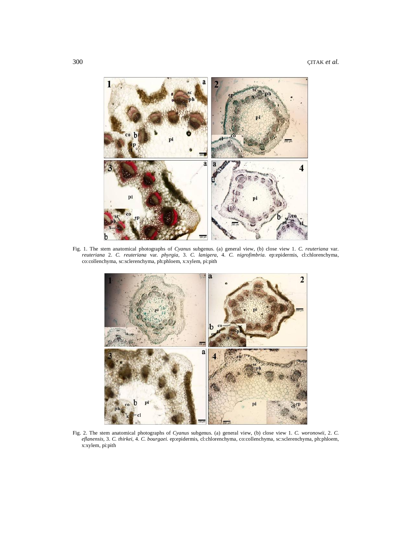

Fig. 1. The stem anatomical photographs of *Cyanus* subgenus. (a) general view, (b) close view 1. *C. reuteriana* var. *reuteriana* 2. *C. reuteriana* var*. phyrgia,* 3. *C. lanigera,* 4. *C. nigrofimbria.* ep:epidermis, cl:chlorenchyma, co:collenchyma, sc:sclerenchyma, ph:phloem, x:xylem, pi:pith



Fig. 2. The stem anatomical photographs of *Cyanus* subgenus. (a) general view, (b) close view 1. *C. woronowii,* 2. *C. eflanensis,* 3. *C. thirkei,* 4. *C. bourgaei.* ep:epidermis, cl:chlorenchyma, co:collenchyma, sc:sclerenchyma, ph:phloem, x:xylem, pi:pith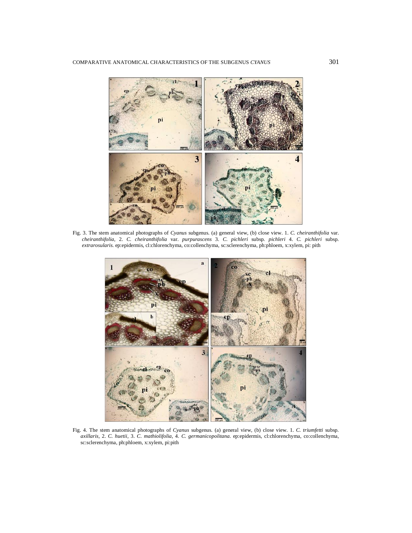

Fig. 3. The stem anatomical photographs of *Cyanus* subgenus. (a) general view, (b) close view. 1. *C. cheiranthifolia* var. *cheiranthifolia,* 2. *C. cheiranthifolia* var. *purpurascens* 3. *C. pichleri* subsp*. pichleri* 4. *C. pichleri* subsp. *extrarosularis.* ep:epidermis, cl:chlorenchyma, co:collenchyma, sc:sclerenchyma, ph:phloem, x:xylem, pi: pith



Fig. 4. The stem anatomical photographs of *Cyanus* subgenus. (a) general view, (b) close view. 1. *C. triumfetti* subsp*. axillaris,* 2. *C. huetii,* 3. *C. mathiolifolia,* 4. *C. germanicopolitana.* ep:epidermis, cl:chlorenchyma, co:collenchyma, sc:sclerenchyma, ph:phloem, x:xylem, pi:pith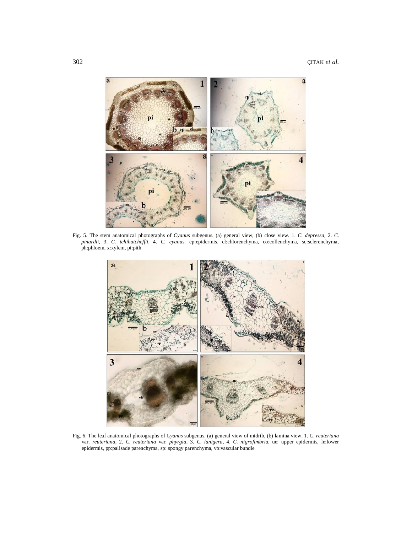

Fig. 5. The stem anatomical photographs of *Cyanus* subgenus. (a) general view, (b) close view. 1. *C. depressa,* 2. *C. pinardii,* 3. *C. tchihatcheffii,* 4. *C. cyanus.* ep:epidermis, cl:chlorenchyma, co:collenchyma, sc:sclerenchyma, ph:phloem, x:xylem, pi:pith



Fig. 6. The leaf anatomical photographs of *Cyanus* subgenus. (a) general view of midrib, (b) lamina view. 1. *C. reuteriana* var. *reuteriana*, 2. *C. reuteriana* var*. phyrgia*, 3. *C. lanigera*, 4. *C. nigrofimbria.* ue: upper epidermis, le:lower epidermis, pp:palisade parenchyma, sp: spongy parenchyma, vb:vascular bundle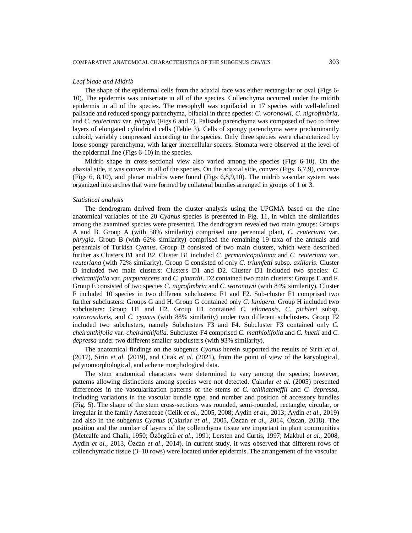# *Leaf blade and Midrib*

The shape of the epidermal cells from the adaxial face was either rectangular or oval (Figs 6- 10). The epidermis was uniseriate in all of the species. Collenchyma occurred under the midrib epidermis in all of the species. The mesophyll was equifacial in 17 species with well-defined palisade and reduced spongy parenchyma, bifacial in three species: *C. woronowii*, *C. nigrofimbria*, and *C. reuteriana* var. *phrygia* (Figs 6 and 7). Palisade parenchyma was composed of two to three layers of elongated cylindrical cells (Table 3). Cells of spongy parenchyma were predominantly cuboid, variably compressed according to the species. Only three species were characterized by loose spongy parenchyma, with larger intercellular spaces. Stomata were observed at the level of the epidermal line (Figs 6-10) in the species.

Midrib shape in cross-sectional view also varied among the species (Figs 6-10). On the abaxial side, it was convex in all of the species. On the adaxial side, convex (Figs 6,7,9), concave (Figs 6, 8,10), and planar midribs were found (Figs 6,8,9,10). The midrib vascular system was organized into arches that were formed by collateral bundles arranged in groups of 1 or 3.

# *Statistical analysis*

The dendrogram derived from the cluster analysis using the UPGMA based on the nine anatomical variables of the 20 *Cyanus* species is presented in Fig. 11, in which the similarities among the examined species were presented. The dendrogram revealed two main groups: Groups A and B. Group A (with 58% similarity) comprised one perennial plant, *C. reuteriana* var. *phrygia*. Group B (with 62% similarity) comprised the remaining 19 taxa of the annuals and perennials of Turkish *Cyanus*. Group B consisted of two main clusters, which were described further as Clusters B1 and B2. Cluster B1 included *C. germanicopolitana* and *C. reuteriana* var. *reuteriana* (with 72% similarity). Group C consisted of only *C. triumfetti* subsp. *axillaris*. Cluster D included two main clusters: Clusters D1 and D2. Cluster D1 included two species: *C. cheirantifolia* var. *purpurascens* and *C. pinardii*. D2 contained two main clusters: Groups E and F. Group E consisted of two species *C. nigrofimbria* and *C. woronowii* (with 84% similarity). Cluster F included 10 species in two different subclusters: F1 and F2. Sub-cluster F1 comprised two further subclusters: Groups G and H. Group G contained only *C. lanigera*. Group H included two subclusters: Group H1 and H2. Group H1 contained *C. eflanensis*, *C. pichleri* subsp*. extrarosularis*, and *C. cyanus* (with 88% similarity) under two different subclusters. Group F2 included two subclusters, namely Subclusters F3 and F4. Subcluster F3 contained only *C. cheiranthifolia* var. *cheiranthifolia*. Subcluster F4 comprised *C. matthiolifolia* and *C. huetii* and *C. depressa* under two different smaller subclusters (with 93% similarity).

The anatomical findings on the subgenus *Cyanus* herein supported the results of Sirin *et al*. (2017), Sirin *et al*. (2019), and Citak *et al*. (2021), from the point of view of the karyological, palynomorphological, and achene morphological data.

The stem anatomical characters were determined to vary among the species; however, patterns allowing distinctions among species were not detected. Çakırlar *et al*. (2005) presented differences in the vascularization patterns of the stems of *C. tchihatcheffii* and *C. depressa*, including variations in the vascular bundle type, and number and position of accessory bundles (Fig. 5). The shape of the stem cross-sections was rounded, semi-rounded, rectangle, circular, or irregular in the family Asteraceae (Celik *et al*., 2005, 2008; Aydin *et al*., 2013; Aydin *et al*., 2019) and also in the subgenus *Cyanus* (Çakırlar *et al*., 2005, Özcan *et al*., 2014, Özcan, 2018). The position and the number of layers of the collenchyma tissue are important in plant communities (Metcalfe and Chalk, 1950; Özörgücü *et al*., 1991; Lersten and Curtis, 1997; Makbul *et al*., 2008, Aydin *et al*., 2013, Özcan *et al*., 2014). In current study, it was observed that different rows of collenchymatic tissue (3–10 rows) were located under epidermis. The arrangement of the vascular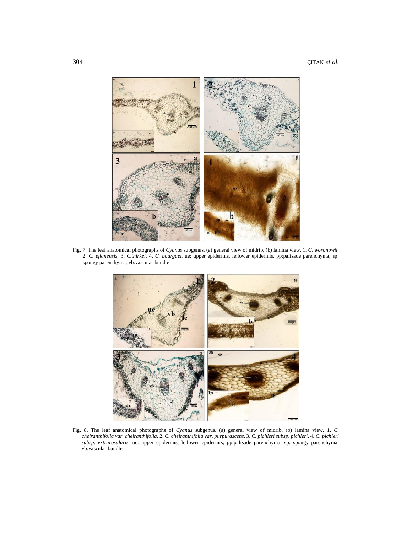

Fig. 7. The leaf anatomical photographs of *Cyanus* subgenus. (a) general view of midrib, (b) lamina view. 1. *C. woronowii,*  2. *C. eflanensis,* 3. *C.thirkei*, 4. *C. bourgaei.* ue: upper epidermis, le:lower epidermis, pp:palisade parenchyma, sp: spongy parenchyma, vb:vascular bundle



Fig. 8. The leaf anatomical photographs of *Cyanus* subgenus. (a) general view of midrib, (b) lamina view*.* 1. *C. cheiranthifolia var. cheiranthifolia*, 2. *C. cheiranthifolia var. purpurascens,* 3. *C. pichleri subsp. pichleri,* 4. *C. pichleri subsp. extrarosularis.* ue: upper epidermis, le:lower epidermis, pp:palisade parenchyma, sp: spongy parenchyma, vb:vascular bundle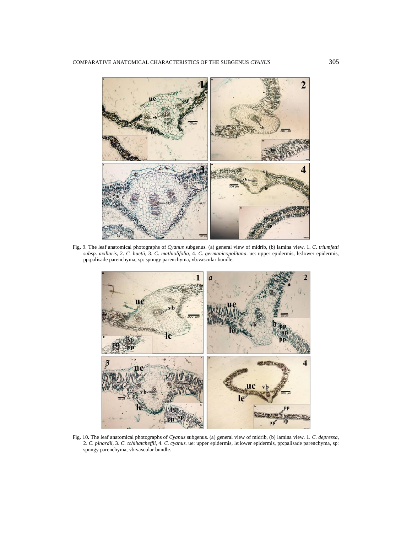

Fig. 9. The leaf anatomical photographs of *Cyanus* subgenus. (a) general view of midrib, (b) lamina view*.* 1. *C. triumfetti subsp. axillaris,* 2. *C. huetii,* 3. *C. mathiolifolia,* 4. *C. germanicopolitana.* ue: upper epidermis, le:lower epidermis, pp:palisade parenchyma, sp: spongy parenchyma, vb:vascular bundle.



Fig. 10**.** The leaf anatomical photographs of *Cyanus* subgenus. (a) general view of midrib, (b) lamina view*.* 1. *C. depressa,*  2. *C. pinardii,* 3. *C. tchihatcheffii,* 4. *C. cyanus.* ue: upper epidermis, le:lower epidermis, pp:palisade parenchyma, sp: spongy parenchyma, vb:vascular bundle.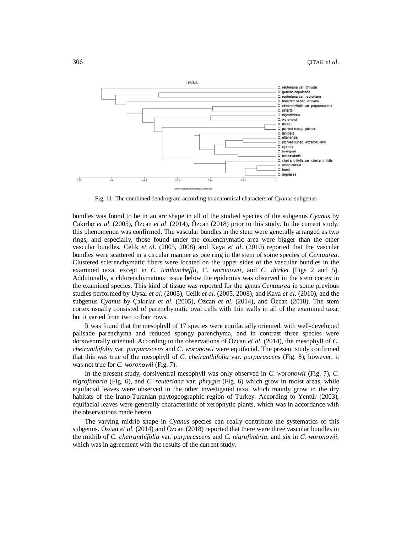

Fig. 11. The combined dendrogram according to anatomical characters of *Cyanus* subgenus

bundles was found to be in an arc shape in all of the studied species of the subgenus *Cyanus* by Çakırlar *et al*. (2005), Özcan *et al*. (2014), Özcan (2018) prior to this study. In the current study, this phenomenon was confirmed. The vascular bundles in the stem were generally arranged as two rings, and especially, those found under the collenchymatic area were bigger than the other vascular bundles. Celik *et al*. (2005, 2008) and Kaya *et al*. (2010) reported that the vascular bundles were scattered in a circular manner as one ring in the stem of some species of *Centaurea*. Clustered sclerenchymatic fibers were located on the upper sides of the vascular bundles in the examined taxa, except in *C. tchihatcheffii*, *C. woronowii*, and *C. thirkei* (Figs 2 and 5). Additionally, a chlorenchymatous tissue below the epidermis was observed in the stem cortex in the examined species. This kind of tissue was reported for the genus *Centaurea* in some previous studies performed by Uysal *et al*. (2005), Celik *et al*. (2005, 2008), and Kaya *et al*. (2010), and the subgenus *Cyanus* by Çakırlar *et al*. (2005), Özcan *et al*. (2014), and Özcan (2018). The stem cortex usually consisted of parenchymatic oval cells with thin walls in all of the examined taxa, but it varied from two to four rows.

It was found that the mesophyll of 17 species were equifacially oriented, with well-developed palisade parenchyma and reduced spongy parenchyma, and in contrast three species were dorsiventrally oriented. According to the observations of Özcan *et al*. (2014), the mesophyll of *C. cheiranthifolia* var. *purpurascens* and *C. woronowii* were equifacial. The present study confirmed that this was true of the mesophyll of *C. cheiranthifolia* var. *purpurascens* (Fig. 8); however, it was not true for *C. woronowii* (Fig. 7).

In the present study, dorsiventral mesophyll was only observed in *C. woronowii* (Fig. 7), *C*. *nigrofimbria* (Fig. 6), and *C. reuteriana* var. *phrygia* (Fig. 6) which grow in moist areas, while equifacial leaves were observed in the other investigated taxa, which mainly grow in the dry habitats of the Irano-Turanian phytogeographic region of Turkey. According to Yentür (2003), equifacial leaves were generally characteristic of xerophytic plants, which was in accordance with the observations made herein.

The varying midrib shape in *Cyanus* species can really contribute the systematics of this subgenus. Özcan *et al*. (2014) and Özcan (2018) reported that there were three vascular bundles in the midrib of *C. cheiranthifolia* var. *purpurascens* and *C. nigrofimbria*, and six in *C. woronowii*, which was in agreement with the results of the current study.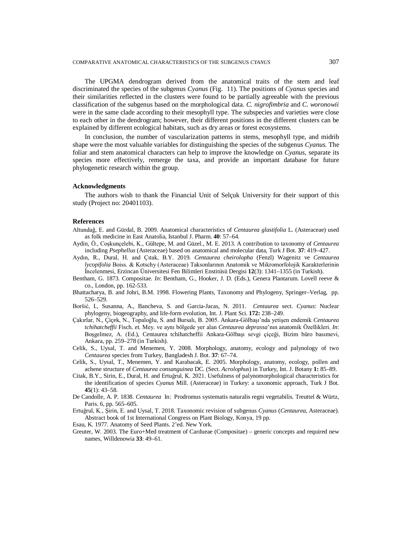The UPGMA dendrogram derived from the anatomical traits of the stem and leaf discriminated the species of the subgenus *Cyanus* (Fig. 11). The positions of *Cyanus* species and their similarities reflected in the clusters were found to be partially agreeable with the previous classification of the subgenus based on the morphological data. *C. nigrofimbria* and *C. woronowii*  were in the same clade according to their mesophyll type. The subspecies and varieties were close to each other in the dendrogram; however, their different positions in the different clusters can be explained by different ecological habitats, such as dry areas or forest ecosystems.

In conclusion, the number of vascularization patterns in stems, mesophyll type, and midrib shape were the most valuable variables for distinguishing the species of the subgenus *Cyanus*. The foliar and stem anatomical characters can help to improve the knowledge on *Cyanus*, separate its species more effectively, remerge the taxa, and provide an important database for future phylogenetic research within the group.

## **Acknowledgments**

The authors wish to thank the Financial Unit of Selçuk University for their support of this study (Project no: 20401103).

# **References**

- Altundağ, E. and Gürdal, B. 2009. Anatomical characteristics of *Centaurea glastifolia* L. (Asteraceae) used as folk medicine in East Anatolia, Istanbul J. Pharm. **40**: 57–64.
- Aydin, Ö., Coşkunçelebi, K., Gültepe, M. and Güzel., M. E. 2013. A contribution to taxonomy of *Centaurea*  including *Psephellus* (Asteraceae) based on anatomical and molecular data, Turk J Bot*.* **37**: 419–427.
- Aydın, R., Dural, H. and Çıtak, B.Y. 2019. *Centaurea cheirolopha* (Fenzl) Wagenitz ve *Centaurea lycopifolia* Boiss. & Kotschy (Asteraceae) Taksonlarının Anatomik ve Mikromorfolojik Karakterlerinin İncelenmesi, Erzincan Üniversitesi Fen Bilimleri Enstitüsü Dergisi **12**(3): 1341–1355 (in Turkish).
- Bentham, G. 1873. Compositae. *In*: Bentham, G., Hooker, J. D. (Eds.), Genera Plantarum. Lovell reeve & co., London, pp. 162-533.
- Bhattacharya, B. and Johri, B.M. 1998. Flowering Plants, Taxonomy and Phylogeny, Springer–Verlag, pp. 526–529.
- Boršić, I., Susanna, A., Bancheva, S. and Garcia-Jacas, N. 2011. *Centaurea* sect. *Cyanus*: Nuclear phylogeny, biogeography, and life-form evolution, Int. J. Plant Sci. **172:** 238–249.
- Çakırlar, N., Çiçek, N., Topaloğlu, S. and Bursalı, B. 2005. Ankara-Gölbaşı'nda yetişen endemik *Centaurea tchihatcheffii* Fisch. *et.* Mey. ve aynı bölgede yer alan *Centaurea deprassa*'nın anatomik Özellikleri. *In*: Boşgelmez, A. (Ed.), Centaurea tchihatcheffii Ankara-Gölbaşı sevgi çiçeği, Bizim büro basımevi, Ankara, pp. 259–278 (in Turkish).
- Celik, S., Uysal, T. and Menemen, Y. 2008. Morphology, anatomy, ecology and palynology of two *Centaurea* species from Turkey, Bangladesh J. Bot. **37**: 67–74.
- Celik, S., Uysal, T., Menemen, Y. and Karabacak, E. 2005. Morphology, anatomy, ecology, pollen and achene structure of *Centaurea consanguinea* DC. (Sect. *Acrolophus*) in Turkey, Int. J. Botany **1:** 85–89.
- Citak, B.Y., Sirin, E., Dural, H. and Ertuğrul, K. 2021. Usefulness of palynomorphological characteristics for the identification of species *Cyanus* Mill. (Asteraceae) in Turkey: a taxonomic approach, Turk J Bot. **45**(1): 43–58.
- De Candolle, A. P. 1838. *Centaurea* In: Prodromus systematis naturalis regni vegetabilis. Treuttel & Würtz, Paris. 6, pp. 565–605.
- Ertuğrul, K., Şirin, E. and Uysal, T. 2018. Taxonomic revision of subgenus *Cyanus* (*Centaurea*, Asteraceae). Abstract book of 1st International Congress on Plant Biology, Konya, 19 pp.

Esau, K. 1977. Anatomy of Seed Plants. 2'ed. New York.

Greuter, W. 2003. The Euro+Med treatment of Cardueae (Compositae) – generic concepts and required new names, Willdenowia **33**: 49–61.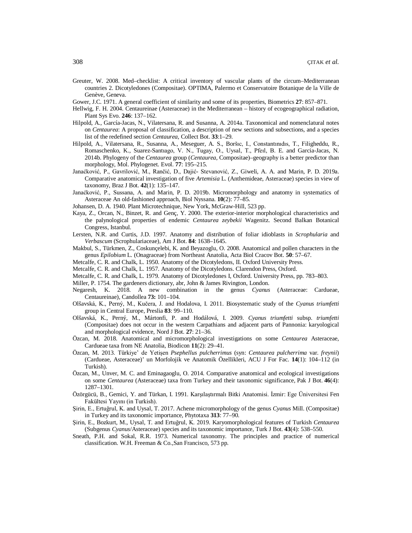- Greuter, W. 2008. Med–checklist: A critical inventory of vascular plants of the circum–Mediterranean countries 2. Dicotyledones (Compositae). OPTIMA, Palermo et Conservatoire Botanique de la Ville de Genève, Geneva.
- Gower, J.C. 1971. A general coefficient of similarity and some of its properties, Biometrics **27**: 857–871.
- Hellwig, F. H. 2004. Centaureinae (Asteraceae) in the Mediterranean history of ecogeographical radiation, Plant Sys Evo. **246**: 137–162.
- Hilpold, A., García-Jacas, N., Vilatersana, R. and Susanna, A. 2014a. Taxonomical and nomenclatural notes on *Centaurea*: A proposal of classification, a description of new sections and subsections, and a species list of the redefined section *Centaurea*, Collect Bot. **33**:1–29.
- Hilpold, A., Vilatersana, R., Susanna, A., Meseguer, A. S., Boršıc, I., Constantınıdıs, T., Filigheddu, R., Romaschenko, K., Suarez-Santıago, V. N., Tugay, O., Uysal, T., Pfeıl, B. E. and Garcia-Jacas, N. 2014b. Phylogeny of the *Centaurea* group (*Centaurea*, Compositae)–geography is a better predictor than morphology, Mol. Phylogenet. Evol. **77**: 195–215.
- Janaćković, P., Gavrilović, M., Rančić, D., Dajić- Stevanović, Z., Giweli, A. A. and Marin, P. D. 2019a. Comparative anatomical investigation of five *Artemisia* L. (Anthemideae, Asteraceae) species in view of taxonomy, Braz J Bot. **42**(1): 135–147.
- Janaćković, P., Sussana, A. and Marin, P. D. 2019b. Micromorphology and anatomy in systematics of Asteraceae An old-fashioned approach, Biol Nyssana. **10**(2): 77–85.
- Johansen, D. A. 1940. Plant Microtechnique, New York, McGraw-Hill, 523 pp.
- Kaya, Z., Orcan, N., Binzet, R. and Genç, Y. 2000. The exterior-interior morphological characteristics and the palynological properties of endemic *Centaurea zeybekii* Wagenitz. Second Balkan Botanical Congress, Istanbul.
- Lersten, N.R. and Curtis, J.D. 1997. Anatomy and distribution of foliar idioblasts in *Scrophularia* and *Verbascum* (Scrophulariaceae), Am J Bot. **84**: 1638–1645.
- Makbul, S., Türkmen, Z., Coskunçelebi, K. and Beyazoglu, O. 2008. Anatomical and pollen characters in the genus *Epilobium* L. (Onagraceae) from Northeast Anatolia, Acta Biol Cracov Bot. **50**: 57–67.
- Metcalfe, C. R. and Chalk, L. 1950. Anatomy of the Dicotyledons, II. Oxford University Press.
- Metcalfe, C. R. and Chalk, L. 1957. Anatomy of the Dicotyledons. Clarendon Press, Oxford.
- Metcalfe, C. R. and Chalk, L. 1979. Anatomy of Dicotyledones I, Oxford. University Press, pp. 783–803.
- Miller, P. 1754. The gardeners dictionary, abr, John & James Rivington, London.
- Negaresh, K. 2018. A new combination in the genus *Cyanus* (Asteraceae: Cardueae, Centaureinae), Candollea **73:** 101–104.
- Olšavská, K., Perný, M., Kučera, J. and Hodalova, I. 2011. Biosystematic study of the *Cyanus triumfetti*  group in Central Europe, Preslia **83**: 99–110.
- Olšavská, K., Perný, M., Mártonfi, P. and Hodálová, I. 2009. *Cyanus triumfetti* subsp. *triumfetti* (Compositae) does not occur in the western Carpathians and adjacent parts of Pannonia: karyological and morphological evidence, Nord J Bot. **27**: 21–36.
- Özcan, M. 2018. Anatomical and micromorphological investigations on some *Centaurea* Asteraceae, Cardueae taxa from NE Anatolia, Biodicon **11**(2): 29–41.
- Özcan, M. 2013. Türkiye' de Yetişen *Psephellus pulcherrimus* (syn: *Centaurea pulcherrima* var. *freynii*) (Cardueae, Asteraceae)' un Morfolojik ve Anatomik Özellikleri, ACU J For Fac. **14**(1): 104–112 (in Turkish).
- Özcan, M., Unver, M. C. and Eminagaoglu, O. 2014. Comparative anatomical and ecological investigations on some *Centaurea* (Asteraceae) taxa from Turkey and their taxonomic significance, Pak J Bot. **46**(4): 1287–1301.
- Özörgücü, B., Gemici, Y. and Türkan, I. 1991. Karşılaştırmalı Bitki Anatomisi. İzmir: Ege Üniversitesi Fen Fakültesi Yayını (in Turkish).
- Şirin, E., Ertuğrul, K. and Uysal, T. 2017. Achene micromorphology of the genus *Cyanus* Mill. (Compositae) in Turkey and its taxonomic importance, Phytotaxa **313**: 77–90.
- Şirin, E., Bozkurt, M., Uysal, T. and Ertuğrul, K. 2019. Karyomorphological features of Turkish *Centaurea* (Subgenus *Cyanus*/Asteraceae) species and its taxonomic importance, Turk J Bot. **43**(4): 538–550.
- Sneath, P.H. and Sokal, R.R. 1973. Numerical taxonomy. The principles and practice of numerical classification. W.H. Freeman & Co.,San Francisco, 573 pp.